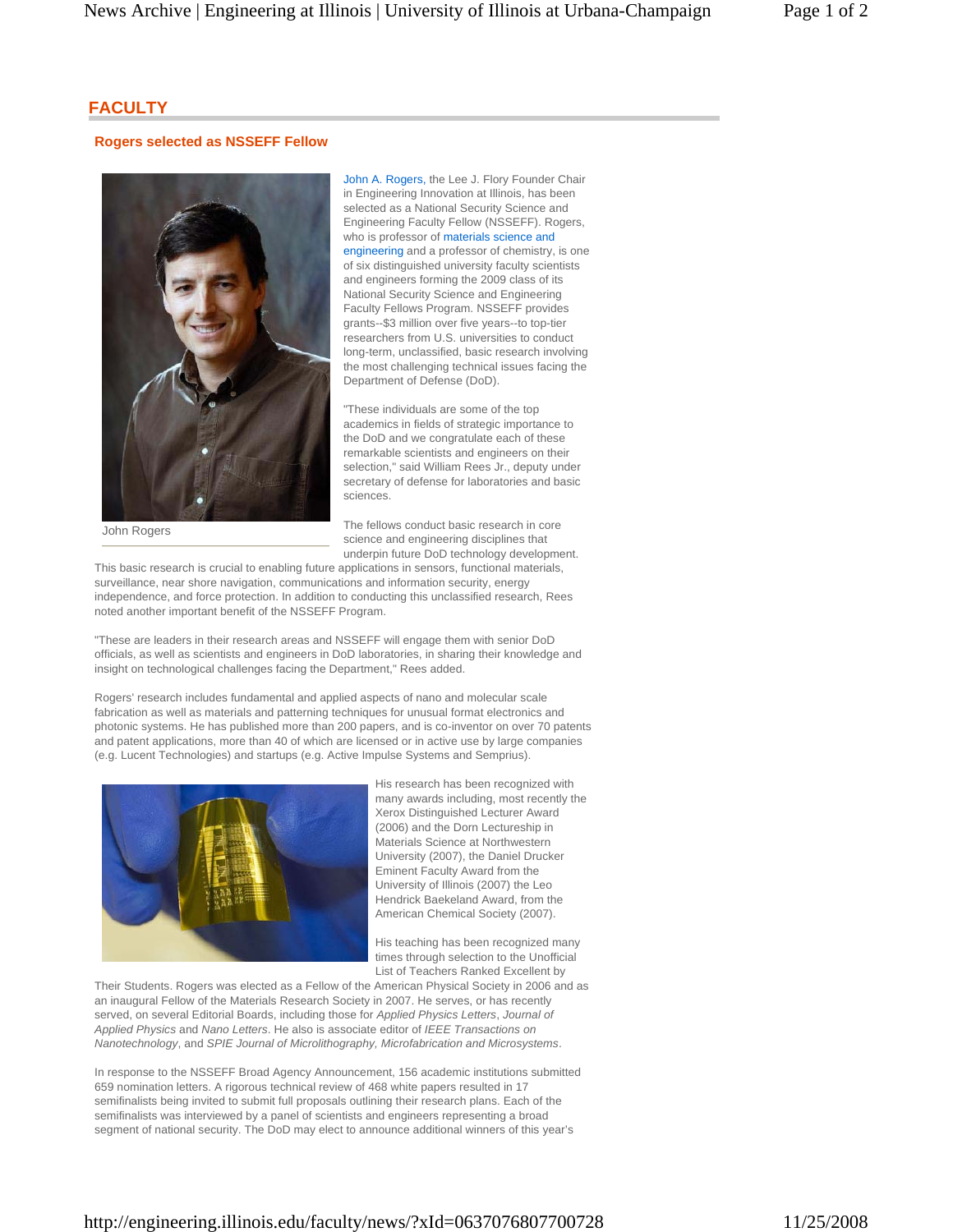## **FACULTY**

## **Rogers selected as NSSEFF Fellow**



John A. Rogers, the Lee J. Flory Founder Chair in Engineering Innovation at Illinois, has been selected as a National Security Science and Engineering Faculty Fellow (NSSEFF). Rogers, who is professor of materials science and engineering and a professor of chemistry, is one of six distinguished university faculty scientists and engineers forming the 2009 class of its National Security Science and Engineering Faculty Fellows Program. NSSEFF provides grants--\$3 million over five years--to top-tier researchers from U.S. universities to conduct long-term, unclassified, basic research involving the most challenging technical issues facing the Department of Defense (DoD).

"These individuals are some of the top academics in fields of strategic importance to the DoD and we congratulate each of these remarkable scientists and engineers on their selection," said William Rees Jr., deputy under secretary of defense for laboratories and basic sciences.

John Rogers

The fellows conduct basic research in core science and engineering disciplines that underpin future DoD technology development.

This basic research is crucial to enabling future applications in sensors, functional materials, surveillance, near shore navigation, communications and information security, energy independence, and force protection. In addition to conducting this unclassified research, Rees noted another important benefit of the NSSEFF Program.

"These are leaders in their research areas and NSSEFF will engage them with senior DoD officials, as well as scientists and engineers in DoD laboratories, in sharing their knowledge and insight on technological challenges facing the Department," Rees added.

Rogers' research includes fundamental and applied aspects of nano and molecular scale fabrication as well as materials and patterning techniques for unusual format electronics and photonic systems. He has published more than 200 papers, and is co-inventor on over 70 patents and patent applications, more than 40 of which are licensed or in active use by large companies (e.g. Lucent Technologies) and startups (e.g. Active Impulse Systems and Semprius).



His research has been recognized with many awards including, most recently the Xerox Distinguished Lecturer Award (2006) and the Dorn Lectureship in Materials Science at Northwestern University (2007), the Daniel Drucker Eminent Faculty Award from the University of Illinois (2007) the Leo Hendrick Baekeland Award, from the American Chemical Society (2007).

His teaching has been recognized many times through selection to the Unofficial List of Teachers Ranked Excellent by

Their Students. Rogers was elected as a Fellow of the American Physical Society in 2006 and as an inaugural Fellow of the Materials Research Society in 2007. He serves, or has recently served, on several Editorial Boards, including those for *Applied Physics Letters*, *Journal of Applied Physics* and *Nano Letters*. He also is associate editor of *IEEE Transactions on Nanotechnology*, and *SPIE Journal of Microlithography, Microfabrication and Microsystems*.

In response to the NSSEFF Broad Agency Announcement, 156 academic institutions submitted 659 nomination letters. A rigorous technical review of 468 white papers resulted in 17 semifinalists being invited to submit full proposals outlining their research plans. Each of the semifinalists was interviewed by a panel of scientists and engineers representing a broad segment of national security. The DoD may elect to announce additional winners of this year's